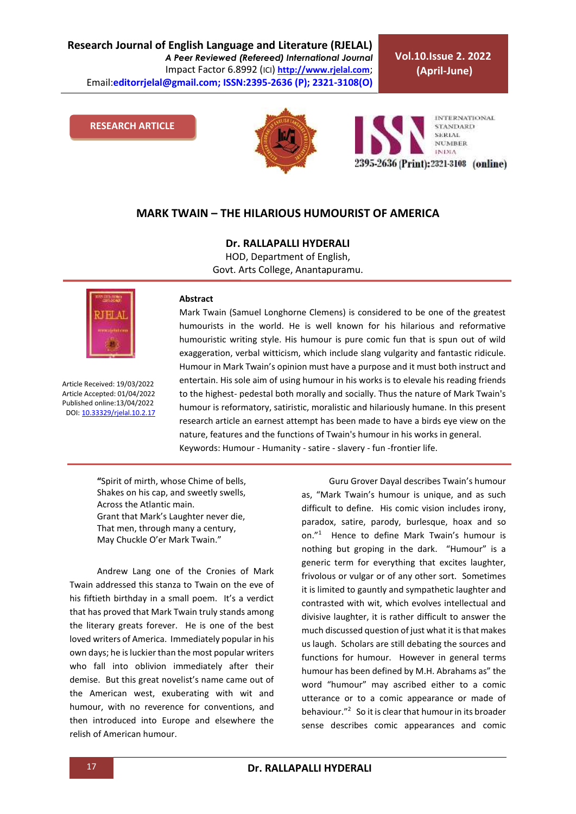**Research Journal of English Language and Literature (RJELAL)** *A Peer Reviewed (Refereed) International Journal* Impact Factor 6.8992 (ICI) **[http://www.rjelal.com](http://www.rjelal.com/)**; Email:**editorrjelal@gmail.com; ISSN:2395-2636 (P); 2321-3108(O)** 

**Vol.10.Issue 2. 2022 (April-June)**

#### **RESEARCH ARTICLE**



**INTERNATIONAL STANDARD SERIAL NUMBER INDIA** 2395-2636 (Print): 2321-3108 (online)

## **MARK TWAIN – THE HILARIOUS HUMOURIST OF AMERICA**

**Dr. RALLAPALLI HYDERALI**

HOD, Department of English, Govt. Arts College, Anantapuramu.



Article Received: 19/03/2022 Article Accepted: 01/04/2022 Published online:13/04/2022 DOI[: 10.33329/rjelal.10.2.1](http://www.rjelal.com/)7

#### **Abstract**

Mark Twain (Samuel Longhorne Clemens) is considered to be one of the greatest humourists in the world. He is well known for his hilarious and reformative humouristic writing style. His humour is pure comic fun that is spun out of wild exaggeration, verbal witticism, which include slang vulgarity and fantastic ridicule. Humour in Mark Twain's opinion must have a purpose and it must both instruct and entertain. His sole aim of using humour in his works is to elevale his reading friends to the highest- pedestal both morally and socially. Thus the nature of Mark Twain's humour is reformatory, satiristic, moralistic and hilariously humane. In this present research article an earnest attempt has been made to have a birds eye view on the nature, features and the functions of Twain's humour in his works in general. Keywords: Humour - Humanity - satire - slavery - fun -frontier life.

**"**Spirit of mirth, whose Chime of bells, Shakes on his cap, and sweetly swells, Across the Atlantic main. Grant that Mark's Laughter never die, That men, through many a century, May Chuckle O'er Mark Twain."

Andrew Lang one of the Cronies of Mark Twain addressed this stanza to Twain on the eve of his fiftieth birthday in a small poem. It's a verdict that has proved that Mark Twain truly stands among the literary greats forever. He is one of the best loved writers of America. Immediately popular in his own days; he is luckier than the most popular writers who fall into oblivion immediately after their demise. But this great novelist's name came out of the American west, exuberating with wit and humour, with no reverence for conventions, and then introduced into Europe and elsewhere the relish of American humour.

Guru Grover Dayal describes Twain's humour as, "Mark Twain's humour is unique, and as such difficult to define. His comic vision includes irony, paradox, satire, parody, burlesque, hoax and so on."<sup>1</sup> Hence to define Mark Twain's humour is nothing but groping in the dark. "Humour" is a generic term for everything that excites laughter, frivolous or vulgar or of any other sort. Sometimes it is limited to gauntly and sympathetic laughter and contrasted with wit, which evolves intellectual and divisive laughter, it is rather difficult to answer the much discussed question of just what it is that makes us laugh. Scholars are still debating the sources and functions for humour. However in general terms humour has been defined by M.H. Abrahams as" the word "humour" may ascribed either to a comic utterance or to a comic appearance or made of behaviour."<sup>2</sup> So it is clear that humour in its broader sense describes comic appearances and comic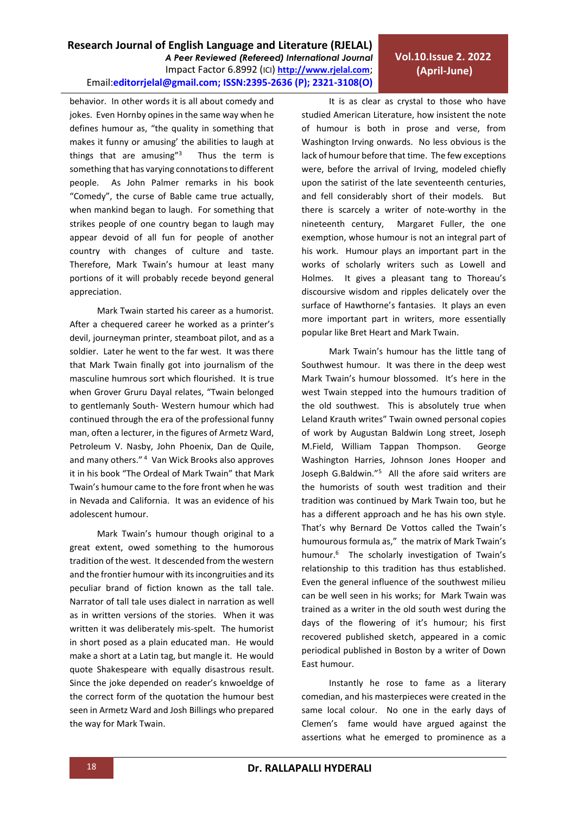# **Vol.10.Issue 2. 2022 (April-June)**

behavior. In other words it is all about comedy and jokes. Even Hornby opines in the same way when he defines humour as, "the quality in something that makes it funny or amusing' the abilities to laugh at things that are amusing" $3$  Thus the term is something that has varying connotations to different people. As John Palmer remarks in his book "Comedy", the curse of Bable came true actually, when mankind began to laugh. For something that strikes people of one country began to laugh may appear devoid of all fun for people of another country with changes of culture and taste. Therefore, Mark Twain's humour at least many portions of it will probably recede beyond general appreciation.

Mark Twain started his career as a humorist. After a chequered career he worked as a printer's devil, journeyman printer, steamboat pilot, and as a soldier. Later he went to the far west. It was there that Mark Twain finally got into journalism of the masculine humrous sort which flourished. It is true when Grover Gruru Dayal relates, "Twain belonged to gentlemanly South- Western humour which had continued through the era of the professional funny man, often a lecturer, in the figures of Armetz Ward, Petroleum V. Nasby, John Phoenix, Dan de Quile, and many others."<sup>4</sup> Van Wick Brooks also approves it in his book "The Ordeal of Mark Twain" that Mark Twain's humour came to the fore front when he was in Nevada and California. It was an evidence of his adolescent humour.

Mark Twain's humour though original to a great extent, owed something to the humorous tradition of the west. It descended from the western and the frontier humour with its incongruities and its peculiar brand of fiction known as the tall tale. Narrator of tall tale uses dialect in narration as well as in written versions of the stories. When it was written it was deliberately mis-spelt. The humorist in short posed as a plain educated man. He would make a short at a Latin tag, but mangle it. He would quote Shakespeare with equally disastrous result. Since the joke depended on reader's knwoeldge of the correct form of the quotation the humour best seen in Armetz Ward and Josh Billings who prepared the way for Mark Twain.

It is as clear as crystal to those who have studied American Literature, how insistent the note of humour is both in prose and verse, from Washington Irving onwards. No less obvious is the lack of humour before that time. The few exceptions were, before the arrival of Irving, modeled chiefly upon the satirist of the late seventeenth centuries, and fell considerably short of their models. But there is scarcely a writer of note-worthy in the nineteenth century, Margaret Fuller, the one exemption, whose humour is not an integral part of his work. Humour plays an important part in the works of scholarly writers such as Lowell and Holmes. It gives a pleasant tang to Thoreau's discoursive wisdom and ripples delicately over the surface of Hawthorne's fantasies. It plays an even more important part in writers, more essentially popular like Bret Heart and Mark Twain.

Mark Twain's humour has the little tang of Southwest humour. It was there in the deep west Mark Twain's humour blossomed. It's here in the west Twain stepped into the humours tradition of the old southwest. This is absolutely true when Leland Krauth writes" Twain owned personal copies of work by Augustan Baldwin Long street, Joseph M.Field, William Tappan Thompson. George Washington Harries, Johnson Jones Hooper and Joseph G.Baldwin."<sup>5</sup> All the afore said writers are the humorists of south west tradition and their tradition was continued by Mark Twain too, but he has a different approach and he has his own style. That's why Bernard De Vottos called the Twain's humourous formula as," the matrix of Mark Twain's humour.<sup>6</sup> The scholarly investigation of Twain's relationship to this tradition has thus established. Even the general influence of the southwest milieu can be well seen in his works; for Mark Twain was trained as a writer in the old south west during the days of the flowering of it's humour; his first recovered published sketch, appeared in a comic periodical published in Boston by a writer of Down East humour.

Instantly he rose to fame as a literary comedian, and his masterpieces were created in the same local colour. No one in the early days of Clemen's fame would have argued against the assertions what he emerged to prominence as a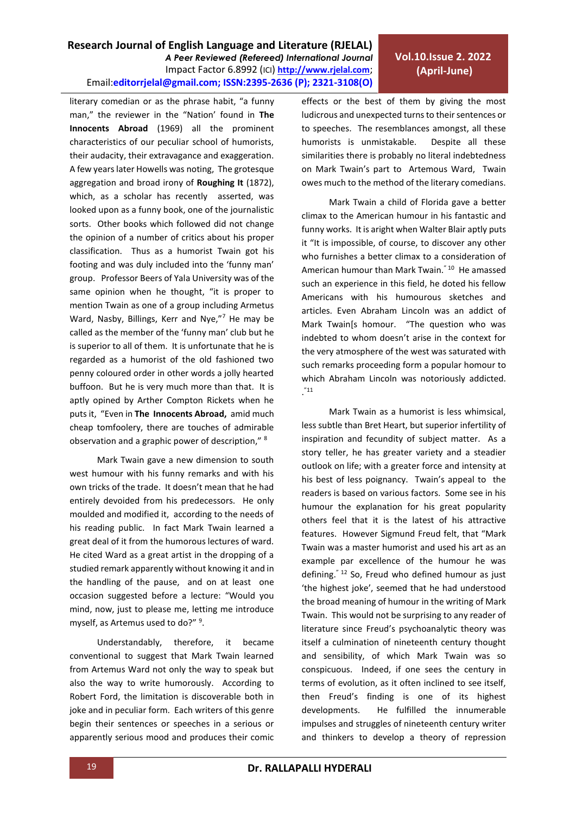**Research Journal of English Language and Literature (RJELAL)**

Email:**editorrjelal@gmail.com; ISSN:2395-2636 (P); 2321-3108(O)** 

*A Peer Reviewed (Refereed) International Journal* Impact Factor 6.8992 (ICI) **[http://www.rjelal.com](http://www.rjelal.com/)**;

classification. Thus as a humorist Twain got his footing and was duly included into the 'funny man' group. Professor Beers of Yala University was of the same opinion when he thought, "it is proper to mention Twain as one of a group including Armetus Ward, Nasby, Billings, Kerr and Nye,"7 He may be called as the member of the 'funny man' club but he is superior to all of them. It is unfortunate that he is regarded as a humorist of the old fashioned two penny coloured order in other words a jolly hearted buffoon. But he is very much more than that. It is aptly opined by Arther Compton Rickets when he puts it, "Even in **The Innocents Abroad,** amid much cheap tomfoolery, there are touches of admirable observation and a graphic power of description," <sup>8</sup>

literary comedian or as the phrase habit, "a funny man," the reviewer in the "Nation' found in **The Innocents Abroad** (1969) all the prominent characteristics of our peculiar school of humorists, their audacity, their extravagance and exaggeration. A few years later Howells was noting, The grotesque aggregation and broad irony of **Roughing It** (1872), which, as a scholar has recently asserted, was looked upon as a funny book, one of the journalistic

Mark Twain gave a new dimension to south west humour with his funny remarks and with his own tricks of the trade. It doesn't mean that he had entirely devoided from his predecessors. He only moulded and modified it, according to the needs of his reading public. In fact Mark Twain learned a great deal of it from the humorous lectures of ward. He cited Ward as a great artist in the dropping of a studied remark apparently without knowing it and in the handling of the pause, and on at least one occasion suggested before a lecture: "Would you mind, now, just to please me, letting me introduce myself, as Artemus used to do?" <sup>9</sup>.

Understandably, therefore, it became conventional to suggest that Mark Twain learned from Artemus Ward not only the way to speak but also the way to write humorously. According to Robert Ford, the limitation is discoverable both in joke and in peculiar form. Each writers of this genre begin their sentences or speeches in a serious or apparently serious mood and produces their comic effects or the best of them by giving the most ludicrous and unexpected turns to their sentences or to speeches. The resemblances amongst, all these humorists is unmistakable. Despite all these similarities there is probably no literal indebtedness on Mark Twain's part to Artemous Ward, Twain owes much to the method of the literary comedians.

Mark Twain a child of Florida gave a better climax to the American humour in his fantastic and funny works. It is aright when Walter Blair aptly puts it "It is impossible, of course, to discover any other who furnishes a better climax to a consideration of American humour than Mark Twain.<sup>" 10</sup> He amassed such an experience in this field, he doted his fellow Americans with his humourous sketches and articles. Even Abraham Lincoln was an addict of Mark Twain[s homour. "The question who was indebted to whom doesn't arise in the context for the very atmosphere of the west was saturated with such remarks proceeding form a popular homour to which Abraham Lincoln was notoriously addicted.  $\cdot$ <sup>"11</sup>

Mark Twain as a humorist is less whimsical, less subtle than Bret Heart, but superior infertility of inspiration and fecundity of subject matter. As a story teller, he has greater variety and a steadier outlook on life; with a greater force and intensity at his best of less poignancy. Twain's appeal to the readers is based on various factors. Some see in his humour the explanation for his great popularity others feel that it is the latest of his attractive features. However Sigmund Freud felt, that "Mark Twain was a master humorist and used his art as an example par excellence of the humour he was defining." <sup>12</sup> So, Freud who defined humour as just 'the highest joke', seemed that he had understood the broad meaning of humour in the writing of Mark Twain. This would not be surprising to any reader of literature since Freud's psychoanalytic theory was itself a culmination of nineteenth century thought and sensibility, of which Mark Twain was so conspicuous. Indeed, if one sees the century in terms of evolution, as it often inclined to see itself, then Freud's finding is one of its highest developments. He fulfilled the innumerable impulses and struggles of nineteenth century writer and thinkers to develop a theory of repression